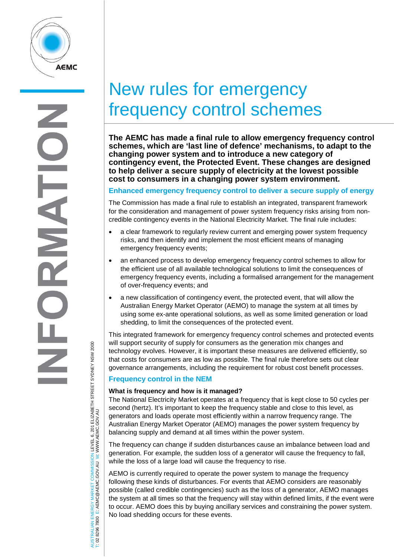

# New rules for emergency frequency control schemes

**The AEMC has made a final rule to allow emergency frequency control schemes, which are 'last line of defence' mechanisms, to adapt to the changing power system and to introduce a new category of contingency event, the Protected Event. These changes are designed to help deliver a secure supply of electricity at the lowest possible cost to consumers in a changing power system environment.** 

## **Enhanced emergency frequency control to deliver a secure supply of energy**

The Commission has made a final rule to establish an integrated, transparent framework for the consideration and management of power system frequency risks arising from noncredible contingency events in the National Electricity Market. The final rule includes:

- a clear framework to regularly review current and emerging power system frequency risks, and then identify and implement the most efficient means of managing emergency frequency events;
- an enhanced process to develop emergency frequency control schemes to allow for the efficient use of all available technological solutions to limit the consequences of emergency frequency events, including a formalised arrangement for the management of over-frequency events; and
- a new classification of contingency event, the protected event, that will allow the Australian Energy Market Operator (AEMO) to manage the system at all times by using some ex-ante operational solutions, as well as some limited generation or load shedding, to limit the consequences of the protected event.

This integrated framework for emergency frequency control schemes and protected events will support security of supply for consumers as the generation mix changes and technology evolves. However, it is important these measures are delivered efficiently, so that costs for consumers are as low as possible. The final rule therefore sets out clear governance arrangements, including the requirement for robust cost benefit processes.

## **Frequency control in the NEM**

#### **What is frequency and how is it managed?**

The National Electricity Market operates at a frequency that is kept close to 50 cycles per second (hertz). It's important to keep the frequency stable and close to this level, as generators and loads operate most efficiently within a narrow frequency range. The Australian Energy Market Operator (AEMO) manages the power system frequency by balancing supply and demand at all times within the power system.

The frequency can change if sudden disturbances cause an imbalance between load and generation. For example, the sudden loss of a generator will cause the frequency to fall, while the loss of a large load will cause the frequency to rise.

AEMO is currently required to operate the power system to manage the frequency following these kinds of disturbances. For events that AEMO considers are reasonably possible (called credible contingencies) such as the loss of a generator, AEMO manages the system at all times so that the frequency will stay within defined limits, if the event were to occur. AEMO does this by buying ancillary services and constraining the power system. No load shedding occurs for these events.

ISTRALIAN ENERGY MARKET COMMISSION LEVEL 6, 201 ELIZABETH STREET SYDNEY NSW 2000<br>02 8296 7800 E: AEMC@AEMC.GOV.AU W: WWW.AEMC.GOV.AU AUSTRALIAN ENERGY MARKET COMMISSION LEVEL 6, 201 ELIZABETH STREET SYDNEY NSW 2000 W: WWW.AEMC.GOV.AU T: 02 8296 7800 E: AEMC@AEMC.GOV.AU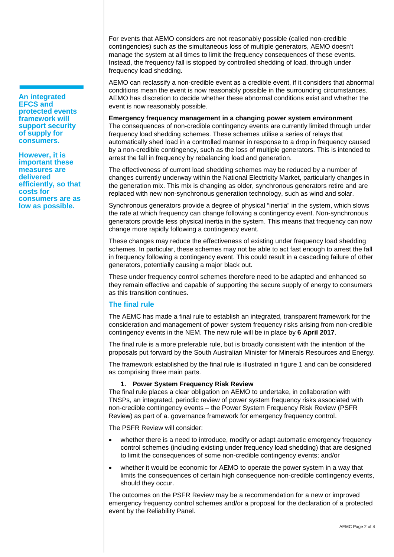**An integrated EFCS and protected events framework will support security of supply for consumers.** 

**However, it is important these measures are delivered efficiently, so that costs for consumers are as low as possible.**

For events that AEMO considers are not reasonably possible (called non-credible contingencies) such as the simultaneous loss of multiple generators, AEMO doesn't manage the system at all times to limit the frequency consequences of these events. Instead, the frequency fall is stopped by controlled shedding of load, through under frequency load shedding.

AEMO can reclassify a non-credible event as a credible event, if it considers that abnormal conditions mean the event is now reasonably possible in the surrounding circumstances. AEMO has discretion to decide whether these abnormal conditions exist and whether the event is now reasonably possible.

**Emergency frequency management in a changing power system environment** The consequences of non-credible contingency events are currently limited through under frequency load shedding schemes. These schemes utilise a series of relays that automatically shed load in a controlled manner in response to a drop in frequency caused by a non-credible contingency, such as the loss of multiple generators. This is intended to arrest the fall in frequency by rebalancing load and generation.

The effectiveness of current load shedding schemes may be reduced by a number of changes currently underway within the National Electricity Market, particularly changes in the generation mix. This mix is changing as older, synchronous generators retire and are replaced with new non-synchronous generation technology, such as wind and solar.

Synchronous generators provide a degree of physical "inertia" in the system, which slows the rate at which frequency can change following a contingency event. Non-synchronous generators provide less physical inertia in the system. This means that frequency can now change more rapidly following a contingency event.

These changes may reduce the effectiveness of existing under frequency load shedding schemes. In particular, these schemes may not be able to act fast enough to arrest the fall in frequency following a contingency event. This could result in a cascading failure of other generators, potentially causing a major black out.

These under frequency control schemes therefore need to be adapted and enhanced so they remain effective and capable of supporting the secure supply of energy to consumers as this transition continues.

## **The final rule**

The AEMC has made a final rule to establish an integrated, transparent framework for the consideration and management of power system frequency risks arising from non-credible contingency events in the NEM. The new rule will be in place by **6 April 2017**.

The final rule is a more preferable rule, but is broadly consistent with the intention of the proposals put forward by the South Australian Minister for Minerals Resources and Energy.

The framework established by the final rule is illustrated in figure 1 and can be considered as comprising three main parts.

## **1. Power System Frequency Risk Review**

The final rule places a clear obligation on AEMO to undertake, in collaboration with TNSPs, an integrated, periodic review of power system frequency risks associated with non-credible contingency events – the Power System Frequency Risk Review (PSFR Review) as part of a. governance framework for emergency frequency control.

The PSFR Review will consider:

- whether there is a need to introduce, modify or adapt automatic emergency frequency control schemes (including existing under frequency load shedding) that are designed to limit the consequences of some non-credible contingency events; and/or
- whether it would be economic for AEMO to operate the power system in a way that limits the consequences of certain high consequence non-credible contingency events, should they occur.

The outcomes on the PSFR Review may be a recommendation for a new or improved emergency frequency control schemes and/or a proposal for the declaration of a protected event by the Reliability Panel.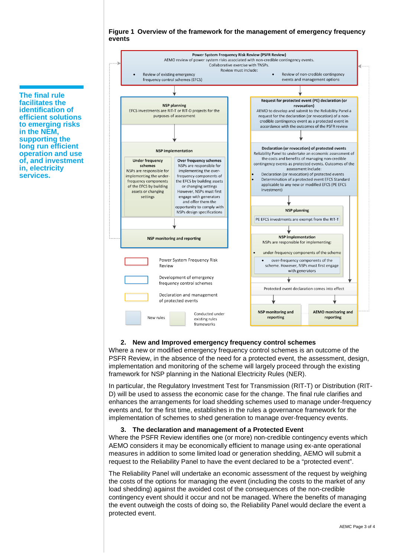#### **Figure 1 Overview of the framework for the management of emergency frequency events**



## **2. New and Improved emergency frequency control schemes**

Where a new or modified emergency frequency control schemes is an outcome of the PSFR Review, in the absence of the need for a protected event, the assessment, design, implementation and monitoring of the scheme will largely proceed through the existing framework for NSP planning in the National Electricity Rules (NER).

In particular, the Regulatory Investment Test for Transmission (RIT-T) or Distribution (RIT-D) will be used to assess the economic case for the change. The final rule clarifies and enhances the arrangements for load shedding schemes used to manage under-frequency events and, for the first time, establishes in the rules a governance framework for the implementation of schemes to shed generation to manage over-frequency events.

#### **3. The declaration and management of a Protected Event**

Where the PSFR Review identifies one (or more) non-credible contingency events which AEMO considers it may be economically efficient to manage using ex-ante operational measures in addition to some limited load or generation shedding, AEMO will submit a request to the Reliability Panel to have the event declared to be a "protected event".

The Reliability Panel will undertake an economic assessment of the request by weighing the costs of the options for managing the event (including the costs to the market of any load shedding) against the avoided cost of the consequences of the non-credible contingency event should it occur and not be managed. Where the benefits of managing the event outweigh the costs of doing so, the Reliability Panel would declare the event a protected event.

**The final rule facilitates the identification of efficient solutions to emerging risks in the NEM, supporting the long run efficient operation and use of, and investment in, electricity services.**